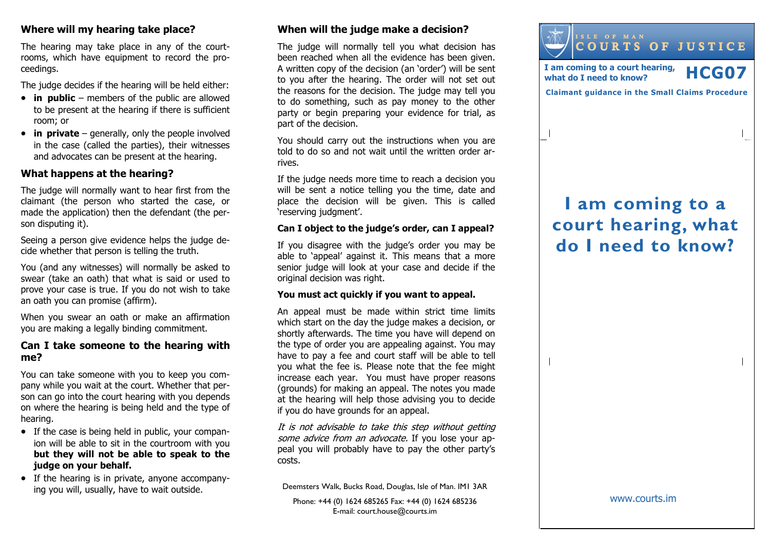## Where will my hearing take place?

The hearing may take place in any of the courtrooms, which have equipment to record the proceedings.

The judge decides if the hearing will be held either:

- $\bullet$  in public members of the public are allowed to be present at the hearing if there is sufficientroom; or
- $\bullet$  in private generally, only the people involved in the case (called the parties), their witnesses and advocates can be present at the hearing.

## What happens at the hearing?

The judge will normally want to hear first from the claimant (the person who started the case, or made the application) then the defendant (the person disputing it).

Seeing a person give evidence helps the judge decide whether that person is telling the truth.

You (and any witnesses) will normally be asked to swear (take an oath) that what is said or used to prove your case is true. If you do not wish to takean oath you can promise (affirm).

When you swear an oath or make an affirmation you are making a legally binding commitment.

## Can I take someone to the hearing with me?

You can take someone with you to keep you company while you wait at the court. Whether that person can go into the court hearing with you depends on where the hearing is being held and the type of hearing.

- If the case is being held in public, your companion will be able to sit in the courtroom with you but they will not be able to speak to the judge on your behalf.
- If the hearing is in private, anyone accompanying you will, usually, have to wait outside.

## When will the judge make a decision?

The judge will normally tell you what decision has been reached when all the evidence has been given. A written copy of the decision (an 'order') will be sent to you after the hearing. The order will not set out the reasons for the decision. The judge may tell you to do something, such as pay money to the other party or begin preparing your evidence for trial, as part of the decision.

You should carry out the instructions when you are told to do so and not wait until the written order arrives.

If the judge needs more time to reach a decision you will be sent a notice telling you the time, date and place the decision will be given. This is called 'reserving judgment'.

#### Can I object to the judge's order, can I appeal?

If you disagree with the judge's order you may be able to 'appeal' against it. This means that a more senior judge will look at your case and decide if the original decision was right.

#### You must act quickly if you want to appeal.

An appeal must be made within strict time limits which start on the day the judge makes a decision, or shortly afterwards. The time you have will depend on the type of order you are appealing against. You may have to pay a fee and court staff will be able to tell you what the fee is. Please note that the fee might increase each year. You must have proper reasons (grounds) for making an appeal. The notes you made at the hearing will help those advising you to decide if you do have grounds for an appeal.

It is not advisable to take this step without getting some advice from an advocate. If you lose your appeal you will probably have to pay the other party's costs.

Deemsters Walk, Bucks Road, Douglas, Isle of Man. IM1 3AR

Phone: +44 (0) 1624 685265 Fax: +44 (0) 1624 685236E-mail: court.house@courts.im



# I am coming to a court hearing, what do I need to know?

 $\overline{\phantom{a}}$ 

www.courts.im